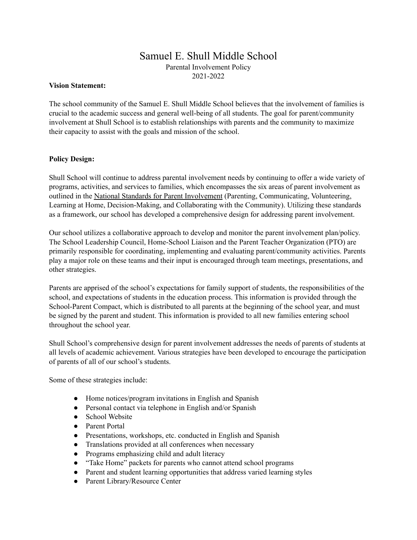# Samuel E. Shull Middle School Parental Involvement Policy 2021-2022

#### **Vision Statement:**

The school community of the Samuel E. Shull Middle School believes that the involvement of families is crucial to the academic success and general well-being of all students. The goal for parent/community involvement at Shull School is to establish relationships with parents and the community to maximize their capacity to assist with the goals and mission of the school.

### **Policy Design:**

Shull School will continue to address parental involvement needs by continuing to offer a wide variety of programs, activities, and services to families, which encompasses the six areas of parent involvement as outlined in the National Standards for Parent Involvement (Parenting, Communicating, Volunteering, Learning at Home, Decision-Making, and Collaborating with the Community). Utilizing these standards as a framework, our school has developed a comprehensive design for addressing parent involvement.

Our school utilizes a collaborative approach to develop and monitor the parent involvement plan/policy. The School Leadership Council, Home-School Liaison and the Parent Teacher Organization (PTO) are primarily responsible for coordinating, implementing and evaluating parent/community activities. Parents play a major role on these teams and their input is encouraged through team meetings, presentations, and other strategies.

Parents are apprised of the school's expectations for family support of students, the responsibilities of the school, and expectations of students in the education process. This information is provided through the School-Parent Compact, which is distributed to all parents at the beginning of the school year, and must be signed by the parent and student. This information is provided to all new families entering school throughout the school year.

Shull School's comprehensive design for parent involvement addresses the needs of parents of students at all levels of academic achievement. Various strategies have been developed to encourage the participation of parents of all of our school's students.

Some of these strategies include:

- Home notices/program invitations in English and Spanish
- Personal contact via telephone in English and/or Spanish
- School Website
- Parent Portal
- Presentations, workshops, etc. conducted in English and Spanish
- Translations provided at all conferences when necessary
- Programs emphasizing child and adult literacy
- "Take Home" packets for parents who cannot attend school programs
- Parent and student learning opportunities that address varied learning styles
- Parent Library/Resource Center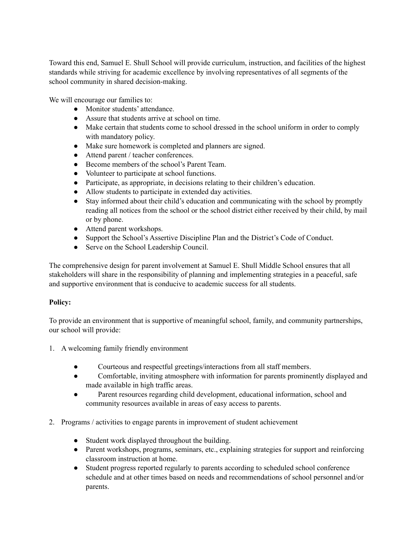Toward this end, Samuel E. Shull School will provide curriculum, instruction, and facilities of the highest standards while striving for academic excellence by involving representatives of all segments of the school community in shared decision-making.

We will encourage our families to:

- Monitor students' attendance.
- Assure that students arrive at school on time.
- Make certain that students come to school dressed in the school uniform in order to comply with mandatory policy.
- Make sure homework is completed and planners are signed.
- Attend parent / teacher conferences.
- Become members of the school's Parent Team.
- Volunteer to participate at school functions.
- Participate, as appropriate, in decisions relating to their children's education.
- Allow students to participate in extended day activities.
- Stay informed about their child's education and communicating with the school by promptly reading all notices from the school or the school district either received by their child, by mail or by phone.
- Attend parent workshops.
- Support the School's Assertive Discipline Plan and the District's Code of Conduct.
- Serve on the School Leadership Council.

The comprehensive design for parent involvement at Samuel E. Shull Middle School ensures that all stakeholders will share in the responsibility of planning and implementing strategies in a peaceful, safe and supportive environment that is conducive to academic success for all students.

# **Policy:**

To provide an environment that is supportive of meaningful school, family, and community partnerships, our school will provide:

- 1. A welcoming family friendly environment
	- Courteous and respectful greetings/interactions from all staff members.
	- Comfortable, inviting atmosphere with information for parents prominently displayed and made available in high traffic areas.
	- Parent resources regarding child development, educational information, school and community resources available in areas of easy access to parents.
- 2. Programs / activities to engage parents in improvement of student achievement
	- Student work displayed throughout the building.
	- Parent workshops, programs, seminars, etc., explaining strategies for support and reinforcing classroom instruction at home.
	- Student progress reported regularly to parents according to scheduled school conference schedule and at other times based on needs and recommendations of school personnel and/or parents.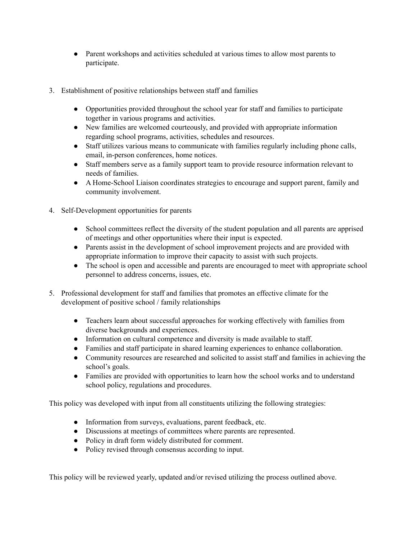- Parent workshops and activities scheduled at various times to allow most parents to participate.
- 3. Establishment of positive relationships between staff and families
	- Opportunities provided throughout the school year for staff and families to participate together in various programs and activities.
	- New families are welcomed courteously, and provided with appropriate information regarding school programs, activities, schedules and resources.
	- Staff utilizes various means to communicate with families regularly including phone calls, email, in-person conferences, home notices.
	- Staff members serve as a family support team to provide resource information relevant to needs of families.
	- A Home-School Liaison coordinates strategies to encourage and support parent, family and community involvement.
- 4. Self-Development opportunities for parents
	- School committees reflect the diversity of the student population and all parents are apprised of meetings and other opportunities where their input is expected.
	- Parents assist in the development of school improvement projects and are provided with appropriate information to improve their capacity to assist with such projects.
	- The school is open and accessible and parents are encouraged to meet with appropriate school personnel to address concerns, issues, etc.
- 5. Professional development for staff and families that promotes an effective climate for the development of positive school / family relationships
	- Teachers learn about successful approaches for working effectively with families from diverse backgrounds and experiences.
	- Information on cultural competence and diversity is made available to staff.
	- Families and staff participate in shared learning experiences to enhance collaboration.
	- Community resources are researched and solicited to assist staff and families in achieving the school's goals.
	- Families are provided with opportunities to learn how the school works and to understand school policy, regulations and procedures.

This policy was developed with input from all constituents utilizing the following strategies:

- Information from surveys, evaluations, parent feedback, etc.
- Discussions at meetings of committees where parents are represented.
- Policy in draft form widely distributed for comment.
- Policy revised through consensus according to input.

This policy will be reviewed yearly, updated and/or revised utilizing the process outlined above.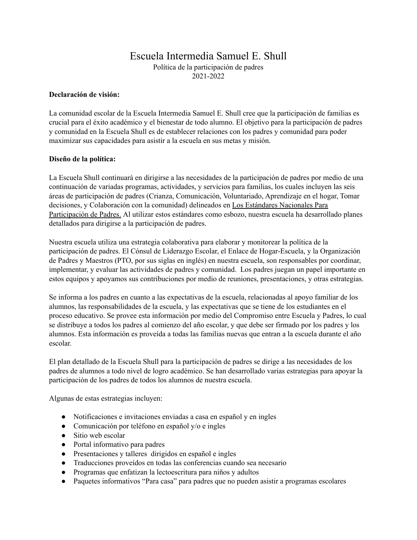# Escuela Intermedia Samuel E. Shull

Política de la participación de padres 2021-2022

### **Declaración de visión:**

La comunidad escolar de la Escuela Intermedia Samuel E. Shull cree que la participación de familias es crucial para el éxito académico y el bienestar de todo alumno. El objetivo para la participación de padres y comunidad en la Escuela Shull es de establecer relaciones con los padres y comunidad para poder maximizar sus capacidades para asistir a la escuela en sus metas y misión.

### **Diseño de la política:**

La Escuela Shull continuará en dirigirse a las necesidades de la participación de padres por medio de una continuación de variadas programas, actividades, y servicios para familias, los cuales incluyen las seis áreas de participación de padres (Crianza, Comunicación, Voluntariado, Aprendizaje en el hogar, Tomar decisiones, y Colaboración con la comunidad) delineados en Los Estándares Nacionales Para Participación de Padres. Al utilizar estos estándares como esbozo, nuestra escuela ha desarrollado planes detallados para dirigirse a la participación de padres.

Nuestra escuela utiliza una estrategia colaborativa para elaborar y monitorear la política de la participación de padres. El Cónsul de Liderazgo Escolar, el Enlace de Hogar-Escuela, y la Organización de Padres y Maestros (PTO, por sus siglas en inglés) en nuestra escuela, son responsables por coordinar, implementar, y evaluar las actividades de padres y comunidad. Los padres juegan un papel importante en estos equipos y apoyamos sus contribuciones por medio de reuniones, presentaciones, y otras estrategias.

Se informa a los padres en cuanto a las expectativas de la escuela, relacionadas al apoyo familiar de los alumnos, las responsabilidades de la escuela, y las expectativas que se tiene de los estudiantes en el proceso educativo. Se provee esta información por medio del Compromiso entre Escuela y Padres, lo cual se distribuye a todos los padres al comienzo del año escolar, y que debe ser firmado por los padres y los alumnos. Esta información es proveída a todas las familias nuevas que entran a la escuela durante el año escolar.

El plan detallado de la Escuela Shull para la participación de padres se dirige a las necesidades de los padres de alumnos a todo nivel de logro académico. Se han desarrollado varias estrategias para apoyar la participación de los padres de todos los alumnos de nuestra escuela.

Algunas de estas estrategias incluyen:

- Notificaciones e invitaciones enviadas a casa en español y en ingles
- $\bullet$  Comunicación por teléfono en español y/o e ingles
- Sitio web escolar
- Portal informativo para padres
- Presentaciones y talleres dirigidos en español e ingles
- Traducciones proveídos en todas las conferencias cuando sea necesario
- Programas que enfatizan la lectoescritura para niños y adultos
- Paquetes informativos "Para casa" para padres que no pueden asistir a programas escolares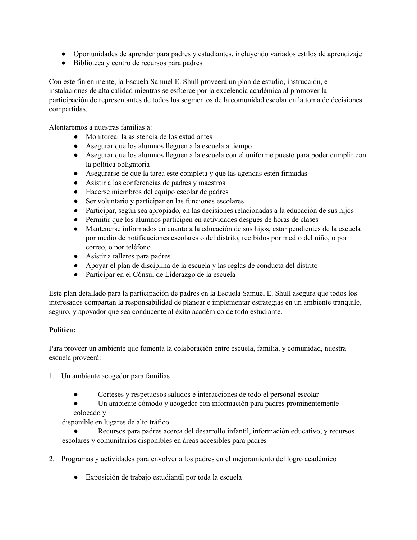- Oportunidades de aprender para padres y estudiantes, incluyendo variados estilos de aprendizaje
- Biblioteca y centro de recursos para padres

Con este fin en mente, la Escuela Samuel E. Shull proveerá un plan de estudio, instrucción, e instalaciones de alta calidad mientras se esfuerce por la excelencia académica al promover la participación de representantes de todos los segmentos de la comunidad escolar en la toma de decisiones compartidas.

Alentaremos a nuestras familias a:

- Monitorear la asistencia de los estudiantes
- Asegurar que los alumnos lleguen a la escuela a tiempo
- Asegurar que los alumnos lleguen a la escuela con el uniforme puesto para poder cumplir con la política obligatoria
- Asegurarse de que la tarea este completa y que las agendas estén firmadas
- Asistir a las conferencias de padres y maestros
- Hacerse miembros del equipo escolar de padres
- Ser voluntario y participar en las funciones escolares
- Participar, según sea apropiado, en las decisiones relacionadas a la educación de sus hijos
- Permitir que los alumnos participen en actividades después de horas de clases
- Mantenerse informados en cuanto a la educación de sus hijos, estar pendientes de la escuela por medio de notificaciones escolares o del distrito, recibidos por medio del niño, o por correo, o por teléfono
- Asistir a talleres para padres
- Apoyar el plan de disciplina de la escuela y las reglas de conducta del distrito
- Participar en el Cónsul de Liderazgo de la escuela

Este plan detallado para la participación de padres en la Escuela Samuel E. Shull asegura que todos los interesados compartan la responsabilidad de planear e implementar estrategias en un ambiente tranquilo, seguro, y apoyador que sea conducente al éxito académico de todo estudiante.

# **Política:**

Para proveer un ambiente que fomenta la colaboración entre escuela, familia, y comunidad, nuestra escuela proveerá:

- 1. Un ambiente acogedor para familias
	- Corteses y respetuosos saludos e interacciones de todo el personal escolar
	- Un ambiente cómodo y acogedor con información para padres prominentemente colocado y

disponible en lugares de alto tráfico

- Recursos para padres acerca del desarrollo infantil, información educativo, y recursos escolares y comunitarios disponibles en áreas accesibles para padres
- 2. Programas y actividades para envolver a los padres en el mejoramiento del logro académico
	- Exposición de trabajo estudiantil por toda la escuela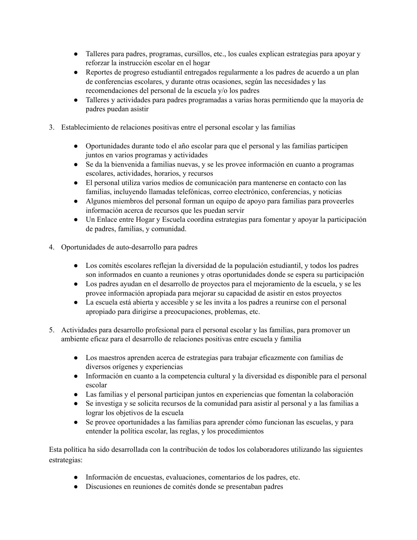- Talleres para padres, programas, cursillos, etc., los cuales explican estrategias para apoyar y reforzar la instrucción escolar en el hogar
- Reportes de progreso estudiantil entregados regularmente a los padres de acuerdo a un plan de conferencias escolares, y durante otras ocasiones, según las necesidades y las recomendaciones del personal de la escuela y/o los padres
- Talleres y actividades para padres programadas a varias horas permitiendo que la mayoría de padres puedan asistir
- 3. Establecimiento de relaciones positivas entre el personal escolar y las familias
	- Oportunidades durante todo el año escolar para que el personal y las familias participen juntos en varios programas y actividades
	- Se da la bienvenida a familias nuevas, y se les provee información en cuanto a programas escolares, actividades, horarios, y recursos
	- El personal utiliza varios medios de comunicación para mantenerse en contacto con las familias, incluyendo llamadas telefónicas, correo electrónico, conferencias, y noticias
	- Algunos miembros del personal forman un equipo de apoyo para familias para proveerles información acerca de recursos que les puedan servir
	- Un Enlace entre Hogar y Escuela coordina estrategias para fomentar y apoyar la participación de padres, familias, y comunidad.
- 4. Oportunidades de auto-desarrollo para padres
	- Los comités escolares reflejan la diversidad de la populación estudiantil, y todos los padres son informados en cuanto a reuniones y otras oportunidades donde se espera su participación
	- Los padres ayudan en el desarrollo de proyectos para el mejoramiento de la escuela, y se les provee información apropiada para mejorar su capacidad de asistir en estos proyectos
	- La escuela está abierta y accesible y se les invita a los padres a reunirse con el personal apropiado para dirigirse a preocupaciones, problemas, etc.
- 5. Actividades para desarrollo profesional para el personal escolar y las familias, para promover un ambiente eficaz para el desarrollo de relaciones positivas entre escuela y familia
	- Los maestros aprenden acerca de estrategias para trabajar eficazmente con familias de diversos orígenes y experiencias
	- Información en cuanto a la competencia cultural y la diversidad es disponible para el personal escolar
	- Las familias y el personal participan juntos en experiencias que fomentan la colaboración
	- Se investiga y se solicita recursos de la comunidad para asistir al personal y a las familias a lograr los objetivos de la escuela
	- Se provee oportunidades a las familias para aprender cómo funcionan las escuelas, y para entender la política escolar, las reglas, y los procedimientos

Esta política ha sido desarrollada con la contribución de todos los colaboradores utilizando las siguientes estrategias:

- Información de encuestas, evaluaciones, comentarios de los padres, etc.
- Discusiones en reuniones de comités donde se presentaban padres